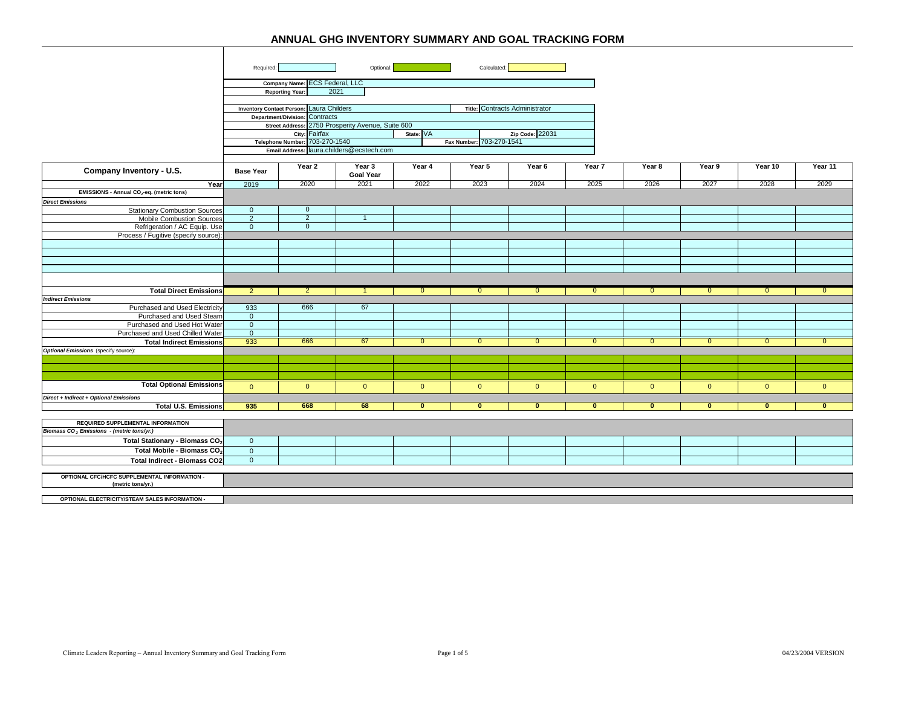|                                                                   | Optional:<br>Calculated:<br>Required: |                                          |                                                   |              |                          |                                |                |              |                |                |                |
|-------------------------------------------------------------------|---------------------------------------|------------------------------------------|---------------------------------------------------|--------------|--------------------------|--------------------------------|----------------|--------------|----------------|----------------|----------------|
|                                                                   |                                       | Company Name: ECS Federal, LLC           |                                                   |              |                          |                                |                |              |                |                |                |
|                                                                   |                                       | 2021<br><b>Reporting Year:</b>           |                                                   |              |                          |                                |                |              |                |                |                |
|                                                                   |                                       |                                          |                                                   |              |                          |                                |                |              |                |                |                |
|                                                                   |                                       | Inventory Contact Person: Laura Childers |                                                   |              |                          | Title: Contracts Administrator |                |              |                |                |                |
|                                                                   |                                       | Department/Division: Contracts           |                                                   |              |                          |                                |                |              |                |                |                |
|                                                                   |                                       |                                          | Street Address: 2750 Prosperity Avenue, Suite 600 |              |                          |                                |                |              |                |                |                |
|                                                                   |                                       | City: Fairfax                            |                                                   | State: VA    |                          | Zip Code: 22031                |                |              |                |                |                |
|                                                                   |                                       | Telephone Number: 703-270-1540           |                                                   |              | Fax Number: 703-270-1541 |                                |                |              |                |                |                |
|                                                                   |                                       |                                          | Email Address: laura.childers@ecstech.com         |              |                          |                                |                |              |                |                |                |
|                                                                   |                                       |                                          |                                                   |              |                          |                                |                |              |                |                |                |
| Company Inventory - U.S.                                          | <b>Base Year</b>                      | Year 2                                   | Year 3<br><b>Goal Year</b>                        | Year 4       | Year 5                   | Year 6                         | Year 7         | Year 8       | Year 9         | Year 10        | Year 11        |
| Year                                                              | 2019                                  | 2020                                     | 2021                                              | 2022         | 2023                     | 2024                           | 2025           | 2026         | 2027           | 2028           | 2029           |
| EMISSIONS - Annual CO <sub>2</sub> -eq. (metric tons)             |                                       |                                          |                                                   |              |                          |                                |                |              |                |                |                |
| <b>Direct Emissions</b>                                           |                                       |                                          |                                                   |              |                          |                                |                |              |                |                |                |
| <b>Stationary Combustion Sources</b>                              | $\overline{0}$                        | $\overline{0}$                           |                                                   |              |                          |                                |                |              |                |                |                |
| <b>Mobile Combustion Sources</b>                                  | $\overline{2}$                        | $\overline{2}$                           | -1                                                |              |                          |                                |                |              |                |                |                |
| Refrigeration / AC Equip. Use                                     | $\mathbf{0}$                          | $\overline{0}$                           |                                                   |              |                          |                                |                |              |                |                |                |
| Process / Fugitive (specify source):                              |                                       |                                          |                                                   |              |                          |                                |                |              |                |                |                |
|                                                                   |                                       |                                          |                                                   |              |                          |                                |                |              |                |                |                |
|                                                                   |                                       |                                          |                                                   |              |                          |                                |                |              |                |                |                |
|                                                                   |                                       |                                          |                                                   |              |                          |                                |                |              |                |                |                |
|                                                                   |                                       |                                          |                                                   |              |                          |                                |                |              |                |                |                |
|                                                                   |                                       |                                          |                                                   |              |                          |                                |                |              |                |                |                |
| <b>Total Direct Emissions</b>                                     | 2                                     | $\overline{2}$                           |                                                   | $\Omega$     | $\mathbf{0}$             | $\mathbf{0}$                   | $\Omega$       | $\mathbf{0}$ | $\mathbf{0}$   | $\mathbf{0}$   | $\mathbf{0}$   |
| <b>Indirect Emissions</b>                                         |                                       |                                          |                                                   |              |                          |                                |                |              |                |                |                |
| Purchased and Used Electricity                                    | 933                                   | 666                                      | 67                                                |              |                          |                                |                |              |                |                |                |
| Purchased and Used Steam                                          | $\mathbf{0}$                          |                                          |                                                   |              |                          |                                |                |              |                |                |                |
| Purchased and Used Hot Water                                      | $\overline{0}$                        |                                          |                                                   |              |                          |                                |                |              |                |                |                |
| Purchased and Used Chilled Water                                  | $\overline{0}$                        |                                          |                                                   |              |                          |                                |                |              |                |                |                |
| <b>Total Indirect Emissions</b>                                   | 933                                   | 666                                      | 67                                                | $\mathbf{0}$ | $\overline{0}$           | $\mathbf{0}$                   | $\mathbf{0}$   | $\mathbf{0}$ | $\overline{0}$ | $\overline{0}$ | $\mathbf{0}$   |
| <b>Optional Emissions</b> (specify source):                       |                                       |                                          |                                                   |              |                          |                                |                |              |                |                |                |
|                                                                   |                                       |                                          |                                                   |              |                          |                                |                |              |                |                |                |
|                                                                   |                                       |                                          |                                                   |              |                          |                                |                |              |                |                |                |
|                                                                   |                                       |                                          |                                                   |              |                          |                                |                |              |                |                |                |
| <b>Total Optional Emissions</b>                                   | $\Omega$                              | $\overline{0}$                           | $\overline{0}$                                    | $\mathbf{0}$ | $\mathbf{0}$             | $\mathbf{0}$                   | $\overline{0}$ | $\mathbf{0}$ | $\overline{0}$ | $\overline{0}$ | $\overline{0}$ |
| Direct + Indirect + Optional Emissions                            |                                       |                                          |                                                   |              |                          |                                |                |              |                |                |                |
| <b>Total U.S. Emissions</b>                                       | 935                                   | 668                                      | 68                                                | $\bf{0}$     | $\overline{0}$           | $\overline{0}$                 | $\mathbf{0}$   | $\mathbf{0}$ | $\overline{0}$ | $\mathbf{0}$   | $\bf{0}$       |
|                                                                   |                                       |                                          |                                                   |              |                          |                                |                |              |                |                |                |
| <b>REQUIRED SUPPLEMENTAL INFORMATION</b>                          |                                       |                                          |                                                   |              |                          |                                |                |              |                |                |                |
| Biomass CO <sub>2</sub> Emissions - (metric tons/yr.)             |                                       |                                          |                                                   |              |                          |                                |                |              |                |                |                |
| Total Stationary - Biomass CO <sub>2</sub>                        | $\overline{0}$                        |                                          |                                                   |              |                          |                                |                |              |                |                |                |
| Total Mobile - Biomass CO2                                        | $\overline{0}$                        |                                          |                                                   |              |                          |                                |                |              |                |                |                |
| <b>Total Indirect - Biomass CO2</b>                               | $\mathbf 0$                           |                                          |                                                   |              |                          |                                |                |              |                |                |                |
|                                                                   |                                       |                                          |                                                   |              |                          |                                |                |              |                |                |                |
| OPTIONAL CFC/HCFC SUPPLEMENTAL INFORMATION -<br>(metric tons/yr.) |                                       |                                          |                                                   |              |                          |                                |                |              |                |                |                |
|                                                                   |                                       |                                          |                                                   |              |                          |                                |                |              |                |                |                |
| OPTIONAL ELECTRICITY/STEAM SALES INFORMATION -                    |                                       |                                          |                                                   |              |                          |                                |                |              |                |                |                |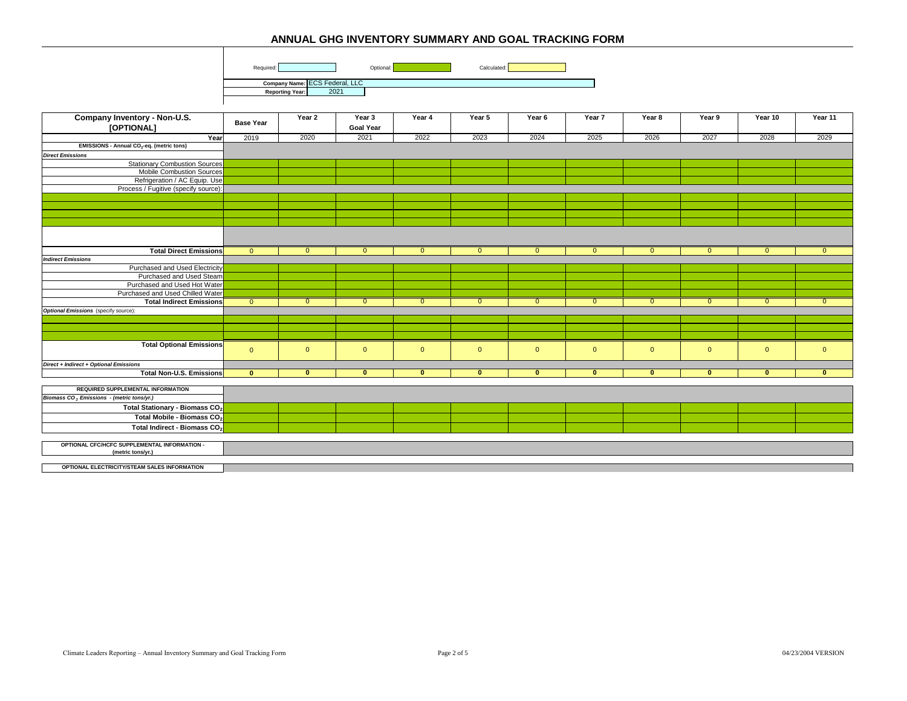

**Reporting Year:** 2021

| Company Inventory - Non-U.S.                          |                  | Year 2         | Year 3       | Year 4         | Year 5         | Year 6         | Year 7         | Year 8         | Year 9         | Year 10        | Year 11        |
|-------------------------------------------------------|------------------|----------------|--------------|----------------|----------------|----------------|----------------|----------------|----------------|----------------|----------------|
| [OPTIONAL]                                            | <b>Base Year</b> |                | Goal Year    |                |                |                |                |                |                |                |                |
| Year                                                  | 2019             | 2020           | 2021         | 2022           | 2023           | 2024           | 2025           | 2026           | 2027           | 2028           | 2029           |
| EMISSIONS - Annual CO <sub>2</sub> -eq. (metric tons) |                  |                |              |                |                |                |                |                |                |                |                |
| <b>Direct Emissions</b>                               |                  |                |              |                |                |                |                |                |                |                |                |
| <b>Stationary Combustion Sources</b>                  |                  |                |              |                |                |                |                |                |                |                |                |
| <b>Mobile Combustion Sources</b>                      |                  |                |              |                |                |                |                |                |                |                |                |
| Refrigeration / AC Equip. Use                         |                  |                |              |                |                |                |                |                |                |                |                |
| Process / Fugitive (specify source):                  |                  |                |              |                |                |                |                |                |                |                |                |
|                                                       |                  |                |              |                |                |                |                |                |                |                |                |
|                                                       |                  |                |              |                |                |                |                |                |                |                |                |
|                                                       |                  |                |              |                |                |                |                |                |                |                |                |
|                                                       |                  |                |              |                |                |                |                |                |                |                |                |
|                                                       |                  |                |              |                |                |                |                |                |                |                |                |
|                                                       |                  |                |              |                |                |                |                |                |                |                |                |
| <b>Total Direct Emissions</b>                         | $\overline{0}$   | $\Omega$       | $\Omega$     | $\mathbf{0}$   | $\mathbf{0}$   | $\mathbf{0}$   |                | $\Omega$       | $\mathbf{0}$   | $\Omega$       |                |
| <b>Indirect Emissions</b>                             |                  |                |              |                |                |                |                |                |                |                |                |
| Purchased and Used Electricity                        |                  |                |              |                |                |                |                |                |                |                |                |
| Purchased and Used Steam                              |                  |                |              |                |                |                |                |                |                |                |                |
| Purchased and Used Hot Water                          |                  |                |              |                |                |                |                |                |                |                |                |
| Purchased and Used Chilled Water                      |                  |                |              |                |                |                |                |                |                |                |                |
| <b>Total Indirect Emissions</b>                       | $\overline{0}$   | $\overline{0}$ | $\Omega$     | $\overline{0}$ | $\overline{0}$ | $\overline{0}$ | $\Omega$       | $\overline{0}$ | $\overline{0}$ | $\Omega$       | $\overline{0}$ |
| <b>Optional Emissions</b> (specify source):           |                  |                |              |                |                |                |                |                |                |                |                |
|                                                       |                  |                |              |                |                |                |                |                |                |                |                |
|                                                       |                  |                |              |                |                |                |                |                |                |                |                |
|                                                       |                  |                |              |                |                |                |                |                |                |                |                |
| <b>Total Optional Emissions</b>                       |                  |                |              |                |                |                |                |                |                |                |                |
|                                                       | $\mathbf{0}$     | $\overline{0}$ | $\mathbf{0}$ | $\mathbf{0}$   | $\mathbf{0}$   | $\mathbf{0}$   | $\overline{0}$ | $\overline{0}$ | $\overline{0}$ | $\overline{0}$ | $\overline{0}$ |
| Direct + Indirect + Optional Emissions                |                  |                |              |                |                |                |                |                |                |                |                |
| <b>Total Non-U.S. Emissions</b>                       | $\mathbf{0}$     | $\mathbf{0}$   | $\mathbf{0}$ | $\mathbf{0}$   | $\mathbf{0}$   | $\mathbf{0}$   | $\mathbf{0}$   | $\mathbf{0}$   | $\mathbf{0}$   | $\mathbf{0}$   | $\mathbf{0}$   |
|                                                       |                  |                |              |                |                |                |                |                |                |                |                |
| <b>REQUIRED SUPPLEMENTAL INFORMATION</b>              |                  |                |              |                |                |                |                |                |                |                |                |
| Biomass CO <sub>2</sub> Emissions - (metric tons/yr.) |                  |                |              |                |                |                |                |                |                |                |                |
| Total Stationary - Biomass CO <sub>2</sub>            |                  |                |              |                |                |                |                |                |                |                |                |
| Total Mobile - Biomass CO <sub>2</sub>                |                  |                |              |                |                |                |                |                |                |                |                |
| Total Indirect - Biomass CO <sub>2</sub>              |                  |                |              |                |                |                |                |                |                |                |                |
|                                                       |                  |                |              |                |                |                |                |                |                |                |                |
| OPTIONAL CFC/HCFC SUPPLEMENTAL INFORMATION -          |                  |                |              |                |                |                |                |                |                |                |                |
| (metric tons/yr.)                                     |                  |                |              |                |                |                |                |                |                |                |                |
|                                                       |                  |                |              |                |                |                |                |                |                |                |                |
| OPTIONAL ELECTRICITY/STEAM SALES INFORMATION          |                  |                |              |                |                |                |                |                |                |                |                |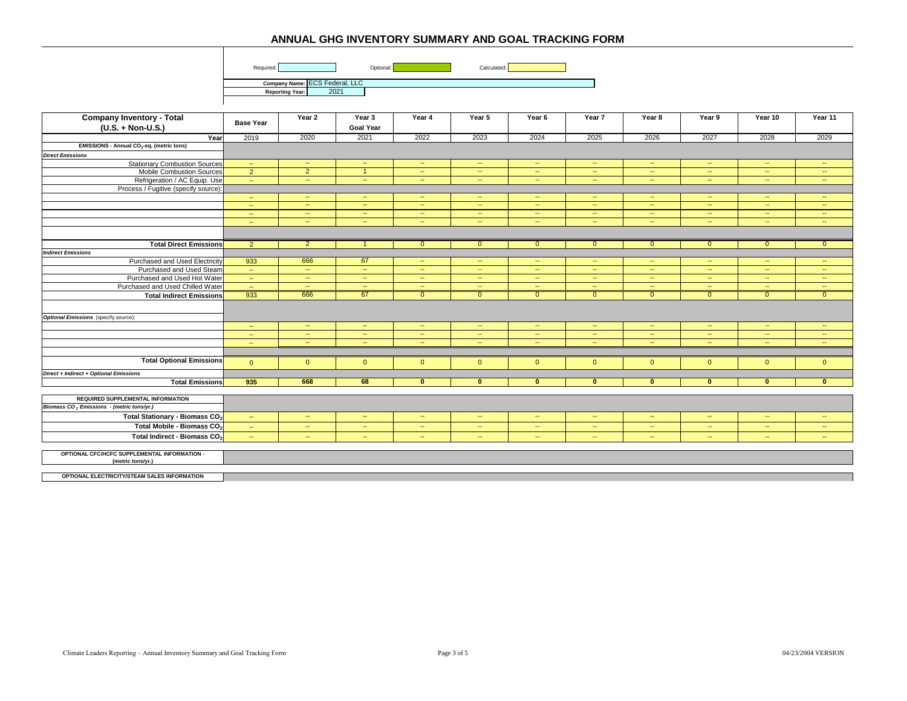



**Company Name:** ECS Federal, LLC **Reporting Year:** 2021

| <b>Company Inventory - Total</b>                                  |                  | Year 2                   | Year 3                   | Year 4                   | Year 5                   | Year 6                   | Year 7                   | Year 8                   | Year 9                   | Year 10                  | Year 11        |
|-------------------------------------------------------------------|------------------|--------------------------|--------------------------|--------------------------|--------------------------|--------------------------|--------------------------|--------------------------|--------------------------|--------------------------|----------------|
| $(U.S. + Non-U.S.)$                                               | <b>Base Year</b> |                          | <b>Goal Year</b>         |                          |                          |                          |                          |                          |                          |                          |                |
| Year                                                              | 2019             | 2020                     | 2021                     | 2022                     | 2023                     | 2024                     | 2025                     | 2026                     | 2027                     | 2028                     | 2029           |
| EMISSIONS - Annual CO <sub>2</sub> -eq. (metric tons)             |                  |                          |                          |                          |                          |                          |                          |                          |                          |                          |                |
| <b>Direct Emissions</b>                                           |                  |                          |                          |                          |                          |                          |                          |                          |                          |                          |                |
| <b>Stationary Combustion Sources</b>                              | $\sim$           | $\sim$                   | $\sim$                   | $\sim$                   | $\sim$                   | $\sim$                   | $\sim$                   | $\sim$                   | $\sim$                   | $\sim$                   | $\sim$         |
| <b>Mobile Combustion Sources</b>                                  | $\overline{2}$   | $\overline{2}$           | $\overline{\mathbf{1}}$  | $\sim$                   | $\sim$                   | $\overline{a}$           | $\overline{\phantom{a}}$ | $\sim$                   | $\sim$                   | $\overline{\phantom{a}}$ | $\sim$         |
| Refrigeration / AC Equip. Use                                     | $\sim$           | $\sim$                   | $\sim$                   | $\sim$                   | $\sim$                   | $\sim$                   | $\sim$                   | $\sim$                   | $\sim$                   | $\sim$                   | $\sim$         |
| Process / Fugitive (specify source):                              |                  |                          |                          |                          |                          |                          |                          |                          |                          |                          |                |
|                                                                   | $\sim$           | $\sim$                   | $\sim$                   | $\sim$                   | $\sim$                   | $\sim$                   | $\sim$                   | $\sim$                   | $\sim$                   | $\sim$                   | $\sim$         |
|                                                                   | $\sim$           | $\sim$                   | $\sim$                   | $\sim$                   | $\sim$                   | $\sim$                   | $\sim$                   | $\sim$                   | $\sim$                   | $\sim$                   | $\sim$         |
|                                                                   | $\sim$           | $\sim$                   | $\sim$                   | $\sim$                   | $\sim$                   | $\sim$                   | $\sim$                   | $\sim$                   | $\sim$                   | $\sim$                   | $\sim$         |
|                                                                   | $\sim$           | $\sim$                   | $\sim$                   | $\sim$                   | $\sim$                   | $\sim$                   | $\sim$                   | $\sim$                   | $\sim$                   | $\sim$                   | $\sim$         |
|                                                                   |                  |                          |                          |                          |                          |                          |                          |                          |                          |                          |                |
| <b>Total Direct Emissions</b>                                     | $\overline{2}$   | $\overline{2}$           |                          | $\mathbf{0}$             | $\mathbf{0}$             | $\mathbf{0}$             | $\mathbf{0}$             | $\mathbf{0}$             | $\mathbf{0}$             | $\overline{0}$           | $\overline{0}$ |
| <b>Indirect Emissions</b>                                         |                  |                          |                          |                          |                          |                          |                          |                          |                          |                          |                |
| Purchased and Used Electricity                                    | 933              | 666                      | 67                       | $\overline{\phantom{a}}$ | $\sim$                   | $\sim$                   | $\overline{\phantom{a}}$ | $\sim$                   | $\sim$                   | $\sim$                   | $\sim$         |
| Purchased and Used Steam                                          | $\sim$           | $\sim$                   | $\sim$                   | $\sim$                   | $\sim$                   | $\sim$                   | $\sim$                   | $\sim$                   | $\sim$                   | $\sim$                   | $\sim$         |
| Purchased and Used Hot Water                                      | $\sim$           | $\overline{\phantom{a}}$ | $\overline{\phantom{a}}$ | --                       | $\overline{\phantom{a}}$ | $\overline{\phantom{a}}$ | $\overline{\phantom{a}}$ | $\overline{\phantom{a}}$ | $\overline{\phantom{a}}$ | $\overline{\phantom{a}}$ | ۰.             |
| Purchased and Used Chilled Water                                  | $\sim$           | $\sim$                   | $\sim$                   | $\mathbb{Z}^2$           | $\sim$                   | $\sim$                   | $\sim$                   | $\sim$                   | $\sim$                   | $\sim$                   | $\sim$         |
| <b>Total Indirect Emissions</b>                                   | 933              | 666                      | 67                       | $\Omega$                 | $\overline{0}$           | $\overline{0}$           | $\Omega$                 | $\Omega$                 | $\overline{0}$           | $\overline{0}$           | $\overline{0}$ |
|                                                                   |                  |                          |                          |                          |                          |                          |                          |                          |                          |                          |                |
| <b>Optional Emissions</b> (specify source):                       |                  |                          |                          |                          |                          |                          |                          |                          |                          |                          |                |
|                                                                   | $\sim$           | $\sim$                   | $\sim$                   | $\sim$                   | $\sim$                   | $\sim$                   | $\sim$                   | $\sim$                   | $\sim$                   | $\sim$                   | $\sim$         |
|                                                                   | $\sim$           | $\overline{\phantom{a}}$ | $\sim$                   | $\sim$                   | $\sim$                   | $\sim$                   | $\sim$                   | $\sim$                   | $\sim$                   | $\overline{\phantom{a}}$ | ÷.             |
|                                                                   | $\sim$           | $\sim$                   | $\sim$                   | $\sim$                   | $\sim$                   | $\sim$                   | $\sim$                   | $\sim$                   | $\sim$                   | $\sim$                   | $\sim$         |
|                                                                   |                  |                          |                          |                          |                          |                          |                          |                          |                          |                          |                |
| <b>Total Optional Emissions</b>                                   | $\Omega$         | $\overline{0}$           | $\overline{0}$           | $\mathbf{0}$             | $\overline{0}$           | $\mathbf{0}$             | $\mathbf{0}$             | $\mathbf{0}$             | $\overline{0}$           | $\overline{0}$           | $\overline{0}$ |
| Direct + Indirect + Optional Emissions                            |                  |                          |                          |                          |                          |                          |                          |                          |                          |                          |                |
| <b>Total Emissions</b>                                            | 935              | 668                      | 68                       | $\mathbf{0}$             | $\mathbf{0}$             | $\mathbf{0}$             | $\mathbf{0}$             | $\mathbf{0}$             | $\mathbf{0}$             | $\mathbf{0}$             | $\mathbf{0}$   |
|                                                                   |                  |                          |                          |                          |                          |                          |                          |                          |                          |                          |                |
| <b>REQUIRED SUPPLEMENTAL INFORMATION</b>                          |                  |                          |                          |                          |                          |                          |                          |                          |                          |                          |                |
| Biomass CO <sub>2</sub> Emissions - (metric tons/yr.)             |                  |                          |                          |                          |                          |                          |                          |                          |                          |                          |                |
| Total Stationary - Biomass CO <sub>2</sub>                        | $\sim$           | $\sim$                   | $\sim$                   | $\sim$                   | $\sim$                   | $\sim$                   | $\sim$                   | $\sim$                   | $\sim$                   | $\sim$                   | $\sim$         |
| Total Mobile - Biomass CO <sub>2</sub>                            | $\sim$           | $\sim$                   | $\sim$                   | $\sim$                   | $\sim$                   | $\sim$                   | $\sim$                   | $\sim$                   | $\sim$                   | $\sim$                   | $\sim$         |
| Total Indirect - Biomass CO <sub>2</sub>                          | $\sim$           | $\sim$                   | $\sim$                   | $\sim$                   | $\sim$                   | $\sim$                   | $\sim$                   | $\sim$                   | $\sim$                   | $\sim$                   | $\sim$         |
|                                                                   |                  |                          |                          |                          |                          |                          |                          |                          |                          |                          |                |
| OPTIONAL CFC/HCFC SUPPLEMENTAL INFORMATION -<br>(metric tons/yr.) |                  |                          |                          |                          |                          |                          |                          |                          |                          |                          |                |
|                                                                   |                  |                          |                          |                          |                          |                          |                          |                          |                          |                          |                |

**OPTIONAL ELECTRICITY/STEAM SALES INFORMATION**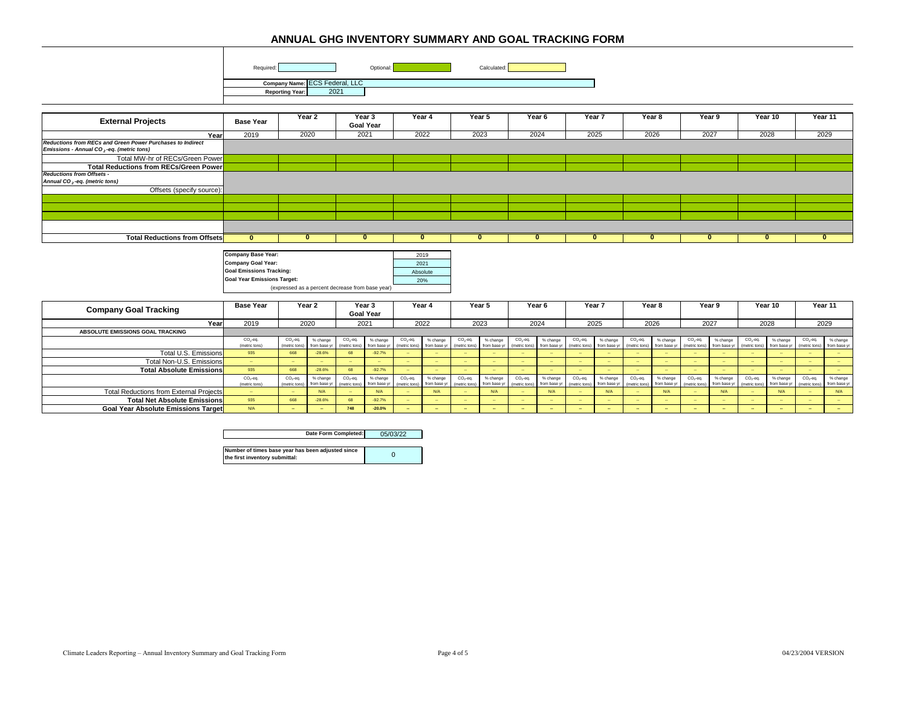|                                                                                       | Required:<br>Optional:<br>Calculated:<br>Company Name: ECS Federal, LLC<br>2021<br><b>Reporting Year:</b> |               |                                                  |              |                            |               |                                  |               |              |                   |                   |                  |              |               |                  |              |             |             |              |                  |                  |
|---------------------------------------------------------------------------------------|-----------------------------------------------------------------------------------------------------------|---------------|--------------------------------------------------|--------------|----------------------------|---------------|----------------------------------|---------------|--------------|-------------------|-------------------|------------------|--------------|---------------|------------------|--------------|-------------|-------------|--------------|------------------|------------------|
| <b>External Projects</b>                                                              | <b>Base Year</b>                                                                                          |               | Year 2                                           |              | Year 3<br><b>Goal Year</b> |               | Year 4                           |               | Year 5       |                   | Year <sub>6</sub> |                  | Year 7       |               | Year 8           |              | Year 9      |             | Year 10      | Year 11          |                  |
| Year                                                                                  | 2019                                                                                                      |               | 2020                                             |              | 2021                       |               | 2022                             |               | 2023         |                   | 2024              |                  | 2025         |               | 2026             | 2027         |             |             | 2028         | 2029             |                  |
| Reductions from RECs and Green Power Purchases to Indirect                            |                                                                                                           |               |                                                  |              |                            |               |                                  |               |              |                   |                   |                  |              |               |                  |              |             |             |              |                  |                  |
| Emissions - Annual CO <sub>2</sub> -eq. (metric tons)                                 |                                                                                                           |               |                                                  |              |                            |               |                                  |               |              |                   |                   |                  |              |               |                  |              |             |             |              |                  |                  |
| Total MW-hr of RECs/Green Power                                                       |                                                                                                           |               |                                                  |              |                            |               |                                  |               |              |                   |                   |                  |              |               |                  |              |             |             |              |                  |                  |
| <b>Total Reductions from RECs/Green Power</b>                                         |                                                                                                           |               |                                                  |              |                            |               |                                  |               |              |                   |                   |                  |              |               |                  |              |             |             |              |                  |                  |
| <b>Reductions from Offsets -</b><br>Annual CO <sub>2</sub> -eq. (metric tons)         |                                                                                                           |               |                                                  |              |                            |               |                                  |               |              |                   |                   |                  |              |               |                  |              |             |             |              |                  |                  |
| Offsets (specify source):                                                             |                                                                                                           |               |                                                  |              |                            |               |                                  |               |              |                   |                   |                  |              |               |                  |              |             |             |              |                  |                  |
|                                                                                       |                                                                                                           |               |                                                  |              |                            |               |                                  |               |              |                   |                   |                  |              |               |                  |              |             |             |              |                  |                  |
|                                                                                       |                                                                                                           |               |                                                  |              |                            |               |                                  |               |              |                   |                   |                  |              |               |                  |              |             |             |              |                  |                  |
|                                                                                       |                                                                                                           |               |                                                  |              |                            |               |                                  |               |              |                   |                   |                  |              |               |                  |              |             |             |              |                  |                  |
|                                                                                       |                                                                                                           |               |                                                  |              |                            |               |                                  |               |              |                   |                   |                  |              |               |                  |              |             |             |              |                  |                  |
| <b>Total Reductions from Offsets</b>                                                  | $\mathbf{0}$                                                                                              |               | $\mathbf{0}$                                     |              | $\mathbf{0}$               |               | $\bf{0}$                         |               | $\mathbf{0}$ |                   | $\mathbf{0}$      |                  | $\mathbf{0}$ |               | $\bf{0}$         |              | $\bf{0}$    |             | $\mathbf{0}$ | $\mathbf{0}$     |                  |
|                                                                                       |                                                                                                           |               |                                                  |              |                            |               |                                  |               |              |                   |                   |                  |              |               |                  |              |             |             |              |                  |                  |
|                                                                                       | <b>Company Base Year:</b>                                                                                 |               |                                                  |              |                            | 2019          |                                  |               |              |                   |                   |                  |              |               |                  |              |             |             |              |                  |                  |
|                                                                                       | <b>Company Goal Year:</b>                                                                                 |               |                                                  |              |                            | 2021          |                                  |               |              |                   |                   |                  |              |               |                  |              |             |             |              |                  |                  |
|                                                                                       | <b>Goal Emissions Tracking:</b>                                                                           |               |                                                  |              |                            | Absolute      |                                  |               |              |                   |                   |                  |              |               |                  |              |             |             |              |                  |                  |
|                                                                                       | <b>Goal Year Emissions Target:</b>                                                                        |               |                                                  |              |                            | 20%           |                                  |               |              |                   |                   |                  |              |               |                  |              |             |             |              |                  |                  |
|                                                                                       |                                                                                                           |               | (expressed as a percent decrease from base year) |              |                            |               |                                  |               |              |                   |                   |                  |              |               |                  |              |             |             |              |                  |                  |
| <b>Company Goal Tracking</b>                                                          | <b>Base Year</b>                                                                                          |               | Year 2                                           |              | Year 3                     |               | Year 4                           | Year 5        |              | Year <sub>6</sub> |                   | Year 7           |              | Year 8        |                  | Year 9       |             | Year 10     |              | Year 11          |                  |
|                                                                                       |                                                                                                           |               |                                                  |              | <b>Goal Year</b>           |               |                                  |               |              | 2024              |                   |                  |              |               |                  |              |             |             |              | 2029             |                  |
| Year<br>ABSOLUTE EMISSIONS GOAL TRACKING                                              | 2019                                                                                                      |               | 2020                                             | 2021         |                            |               | 2022                             |               | 2023         |                   |                   |                  | 2025         |               | 2026             | 2027         |             |             | 2028         |                  |                  |
|                                                                                       | $CO2$ -eq.                                                                                                | $CO2$ -eq.    | % change                                         | $CO2$ -eq.   | % change                   | $CO2$ -eq.    | % change                         | $CO2$ -eq.    | % change     | $CO2$ -eq.        | % change          | $CO2$ -eq.       | % change     | $CO2$ -eq.    | % change         | $CO2$ -eq.   | % change    | $CO2$ -eq.  | % change     | $CO2$ -eq.       | % change         |
|                                                                                       | (metric tons)                                                                                             | (metric tons  | from base y                                      | metric tons) | from base                  | (metric tons) | from base yr                     | (metric tons) | from base y  | metric tons)      | from base yr      | (metric tons)    | from base yr | (metric tons) | from base yr     | metric tons) | from base y | metric tons | from base y  | metric tons)     | from base yr     |
| Total U.S. Emissions                                                                  | 935                                                                                                       | 668           | $-28.6%$                                         | 68           | $-92.7%$                   |               | $\sim$                           |               |              |                   |                   | $\sim$           |              |               | $\sim$           |              |             |             |              | $\sim$           |                  |
| Total Non-U.S. Emissions                                                              | $\sim$<br>935                                                                                             | $\sim$<br>668 | $-28.6%$                                         | 68           | $-92.7%$                   | - 11          | $\overline{\phantom{a}}$<br>- 11 |               | $\sim$       | $\sim$<br>$\sim$  | ÷.<br>$\sim$      | $\sim$<br>$\sim$ | $\sim$       | $\sim$        | $\sim$<br>$\sim$ | $\sim$       | $\sim$      |             |              | $\sim$<br>$\sim$ | $\sim$<br>$\sim$ |
| <b>Total Absolute Emissions</b>                                                       | $CO2$ -eq.                                                                                                | $CO2$ -eq.    | % change                                         | $CO2$ -eq.   | % change                   | $CO2$ -eq.    | % change                         | $CO2$ -eq.    | % change     | $CO2$ -eq.        | % change          | $CO2$ -eq.       | % change     | $CO2$ -eq.    | % change         | $CO2$ -eq.   | % change    | $CO2$ -eq.  | % change     | $CO2$ -eq.       | % change         |
|                                                                                       | (metric tons)                                                                                             | (metric tons) | from base y                                      | metric tons) | from base y                | metric tons)  | from base yr                     | (metric tons) | from base y  | metric tons)      | from base y       | metric tons)     | from base yr | metric tons)  | from base yr     | metric tons) | rom base y  | netric tons | from base y  | metric tons)     | from base yr     |
|                                                                                       |                                                                                                           |               |                                                  |              |                            |               |                                  |               |              |                   |                   |                  |              |               |                  |              |             |             |              |                  |                  |
| <b>Total Reductions from External Projects</b><br><b>Total Net Absolute Emissions</b> | $\sim$<br>935                                                                                             | $\sim$<br>668 | N/A<br>$-28.6%$                                  | $\sim$<br>68 | N/A<br>$-92.7%$            |               | N/A                              |               | N/A          |                   | N/A               | $\sim$           | N/A          |               | N/A              |              | N/A         |             | N/A          | $\sim$           | N/A              |

| Date Form Completed:                                                                | 05/03/22 |
|-------------------------------------------------------------------------------------|----------|
| Number of times base year has been adjusted since<br>the first inventory submittal: |          |

**Total Net Absolute Emissions** <sup>935</sup> <sup>668</sup> -28.6% <sup>68</sup> -92.7% -- -- -- -- -- -- -- -- -- -- -- -- -- -- -- --

Goal Year Absolute Emissions Target